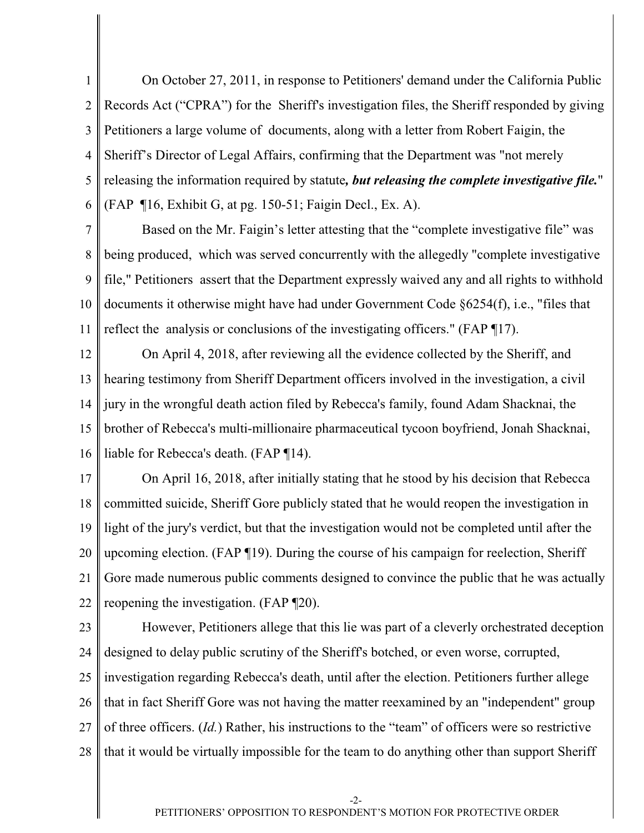1 2 3 4 5 6 On October 27, 2011, in response to Petitioners' demand under the California Public Records Act ("CPRA") for the Sheriff's investigation files, the Sheriff responded by giving Petitioners a large volume of documents, along with a letter from Robert Faigin, the Sheriff's Director of Legal Affairs, confirming that the Department was "not merely releasing the information required by statute*, but releasing the complete investigative file.*" (FAP ¶16, Exhibit G, at pg. 150-51; Faigin Decl., Ex. A).

7 8 9 10 11 Based on the Mr. Faigin's letter attesting that the "complete investigative file" was being produced, which was served concurrently with the allegedly "complete investigative file," Petitioners assert that the Department expressly waived any and all rights to withhold documents it otherwise might have had under Government Code §6254(f), i.e., "files that reflect the analysis or conclusions of the investigating officers." (FAP ¶17).

12 13 14 15 16 On April 4, 2018, after reviewing all the evidence collected by the Sheriff, and hearing testimony from Sheriff Department officers involved in the investigation, a civil jury in the wrongful death action filed by Rebecca's family, found Adam Shacknai, the brother of Rebecca's multi-millionaire pharmaceutical tycoon boyfriend, Jonah Shacknai, liable for Rebecca's death. (FAP ¶14).

17 18 19 20 21 22 On April 16, 2018, after initially stating that he stood by his decision that Rebecca committed suicide, Sheriff Gore publicly stated that he would reopen the investigation in light of the jury's verdict, but that the investigation would not be completed until after the upcoming election. (FAP ¶19). During the course of his campaign for reelection, Sheriff Gore made numerous public comments designed to convince the public that he was actually reopening the investigation. (FAP ¶20).

23 24 25 26 27 28 However, Petitioners allege that this lie was part of a cleverly orchestrated deception designed to delay public scrutiny of the Sheriff's botched, or even worse, corrupted, investigation regarding Rebecca's death, until after the election. Petitioners further allege that in fact Sheriff Gore was not having the matter reexamined by an "independent" group of three officers. (*Id.*) Rather, his instructions to the "team" of officers were so restrictive that it would be virtually impossible for the team to do anything other than support Sheriff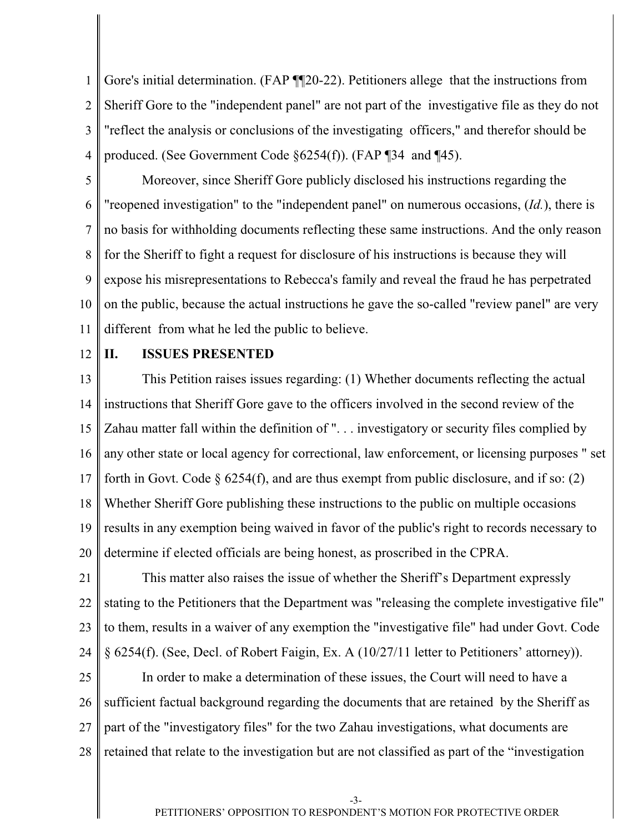1 2 3 4 Gore's initial determination. (FAP ¶¶20-22). Petitioners allege that the instructions from Sheriff Gore to the "independent panel" are not part of the investigative file as they do not "reflect the analysis or conclusions of the investigating officers," and therefor should be produced. (See Government Code §6254(f)). (FAP ¶34 and ¶45).

5 6 7 8 9 10 11 Moreover, since Sheriff Gore publicly disclosed his instructions regarding the "reopened investigation" to the "independent panel" on numerous occasions, (*Id.*), there is no basis for withholding documents reflecting these same instructions. And the only reason for the Sheriff to fight a request for disclosure of his instructions is because they will expose his misrepresentations to Rebecca's family and reveal the fraud he has perpetrated on the public, because the actual instructions he gave the so-called "review panel" are very different from what he led the public to believe.

## 12

#### **II. ISSUES PRESENTED**

13 14 15 16 17 18 19 20 This Petition raises issues regarding: (1) Whether documents reflecting the actual instructions that Sheriff Gore gave to the officers involved in the second review of the Zahau matter fall within the definition of ". . . investigatory or security files complied by any other state or local agency for correctional, law enforcement, or licensing purposes " set forth in Govt. Code  $\S$  6254(f), and are thus exempt from public disclosure, and if so: (2) Whether Sheriff Gore publishing these instructions to the public on multiple occasions results in any exemption being waived in favor of the public's right to records necessary to determine if elected officials are being honest, as proscribed in the CPRA.

21 22 23 24 This matter also raises the issue of whether the Sheriff's Department expressly stating to the Petitioners that the Department was "releasing the complete investigative file" to them, results in a waiver of any exemption the "investigative file" had under Govt. Code § 6254(f). (See, Decl. of Robert Faigin, Ex. A (10/27/11 letter to Petitioners' attorney)).

25 26 27 28 In order to make a determination of these issues, the Court will need to have a sufficient factual background regarding the documents that are retained by the Sheriff as part of the "investigatory files" for the two Zahau investigations, what documents are retained that relate to the investigation but are not classified as part of the "investigation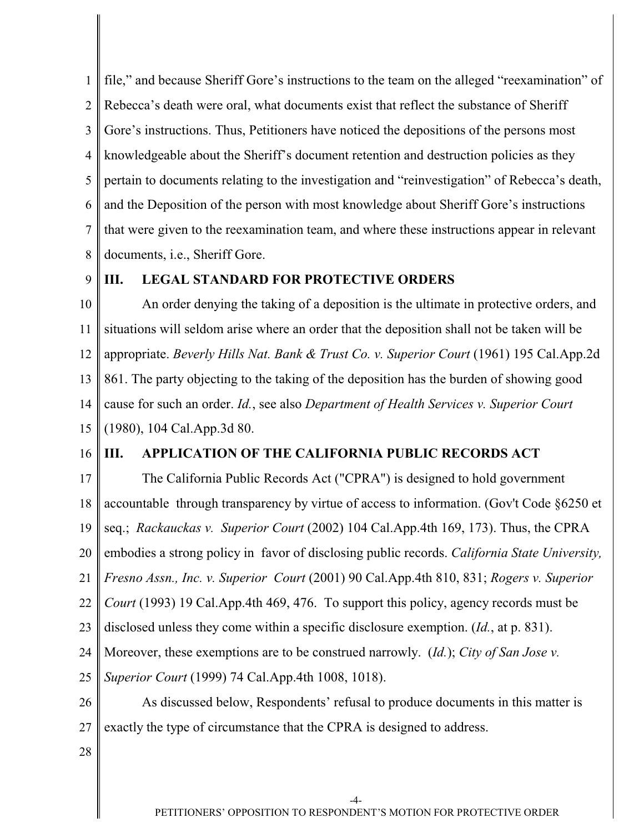1 2 3 4 5 6 7 8 file," and because Sheriff Gore's instructions to the team on the alleged "reexamination" of Rebecca's death were oral, what documents exist that reflect the substance of Sheriff Gore's instructions. Thus, Petitioners have noticed the depositions of the persons most knowledgeable about the Sheriff's document retention and destruction policies as they pertain to documents relating to the investigation and "reinvestigation" of Rebecca's death, and the Deposition of the person with most knowledge about Sheriff Gore's instructions that were given to the reexamination team, and where these instructions appear in relevant documents, i.e., Sheriff Gore.

9

#### **III. LEGAL STANDARD FOR PROTECTIVE ORDERS**

10 11 12 13 14 15 An order denying the taking of a deposition is the ultimate in protective orders, and situations will seldom arise where an order that the deposition shall not be taken will be appropriate. *Beverly Hills Nat. Bank & Trust Co. v. Superior Court* (1961) 195 Cal.App.2d 861. The party objecting to the taking of the deposition has the burden of showing good cause for such an order. *Id.*, see also *Department of Health Services v. Superior Court* (1980), 104 Cal.App.3d 80.

16

### **III. APPLICATION OF THE CALIFORNIA PUBLIC RECORDS ACT**

17 18 19 20 21 22 23 24 25 The California Public Records Act ("CPRA") is designed to hold government accountable through transparency by virtue of access to information. (Gov't Code §6250 et seq.; *Rackauckas v. Superior Court* (2002) 104 Cal.App.4th 169, 173). Thus, the CPRA embodies a strong policy in favor of disclosing public records. *California State University, Fresno Assn., Inc. v. Superior Court* (2001) 90 Cal.App.4th 810, 831; *Rogers v. Superior Court* (1993) 19 Cal.App.4th 469, 476. To support this policy, agency records must be disclosed unless they come within a specific disclosure exemption. (*Id.*, at p. 831). Moreover, these exemptions are to be construed narrowly. (*Id.*); *City of San Jose v. Superior Court* (1999) 74 Cal.App.4th 1008, 1018).

26 27 As discussed below, Respondents' refusal to produce documents in this matter is exactly the type of circumstance that the CPRA is designed to address.

28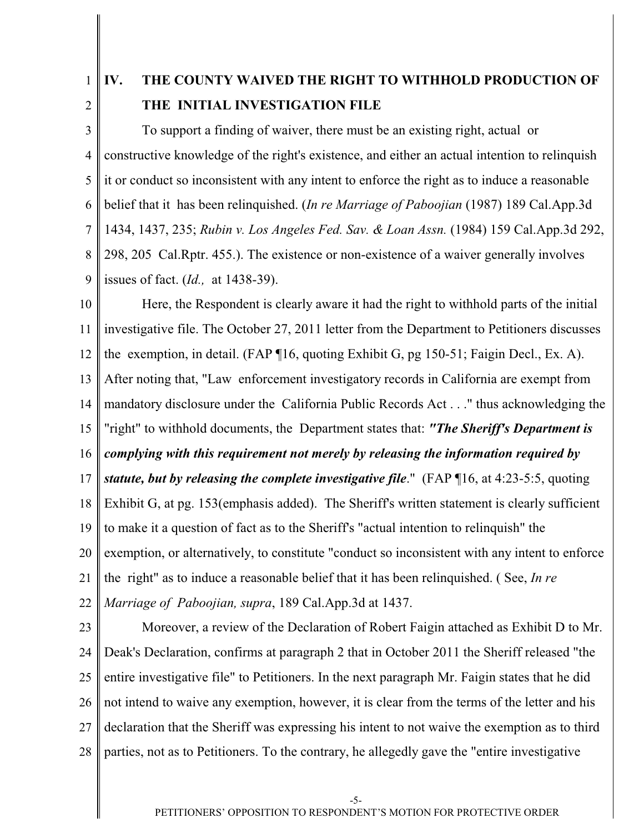1 2

# **IV. THE COUNTY WAIVED THE RIGHT TO WITHHOLD PRODUCTION OF THE INITIAL INVESTIGATION FILE**

3 4 5 6 7 8 9 To support a finding of waiver, there must be an existing right, actual or constructive knowledge of the right's existence, and either an actual intention to relinquish it or conduct so inconsistent with any intent to enforce the right as to induce a reasonable belief that it has been relinquished. (*In re Marriage of Paboojian* (1987) 189 Cal.App.3d 1434, 1437, 235; *Rubin v. Los Angeles Fed. Sav. & Loan Assn.* (1984) 159 Cal.App.3d 292, 298, 205 Cal.Rptr. 455.). The existence or non-existence of a waiver generally involves issues of fact. (*Id.,* at 1438-39).

10 11 12 13 14 15 16 17 18 19 20 21 22 Here, the Respondent is clearly aware it had the right to withhold parts of the initial investigative file. The October 27, 2011 letter from the Department to Petitioners discusses the exemption, in detail. (FAP ¶16, quoting Exhibit G, pg 150-51; Faigin Decl., Ex. A). After noting that, "Law enforcement investigatory records in California are exempt from mandatory disclosure under the California Public Records Act . . ." thus acknowledging the "right" to withhold documents, the Department states that: *"The Sheriff's Department is complying with this requirement not merely by releasing the information required by statute, but by releasing the complete investigative file*." (FAP ¶16, at 4:23-5:5, quoting Exhibit G, at pg. 153(emphasis added). The Sheriff's written statement is clearly sufficient to make it a question of fact as to the Sheriff's "actual intention to relinquish" the exemption, or alternatively, to constitute "conduct so inconsistent with any intent to enforce the right" as to induce a reasonable belief that it has been relinquished. ( See, *In re Marriage of Paboojian, supra*, 189 Cal.App.3d at 1437.

23

24 25 26 27 28 Moreover, a review of the Declaration of Robert Faigin attached as Exhibit D to Mr. Deak's Declaration, confirms at paragraph 2 that in October 2011 the Sheriff released "the entire investigative file" to Petitioners. In the next paragraph Mr. Faigin states that he did not intend to waive any exemption, however, it is clear from the terms of the letter and his declaration that the Sheriff was expressing his intent to not waive the exemption as to third parties, not as to Petitioners. To the contrary, he allegedly gave the "entire investigative

-5-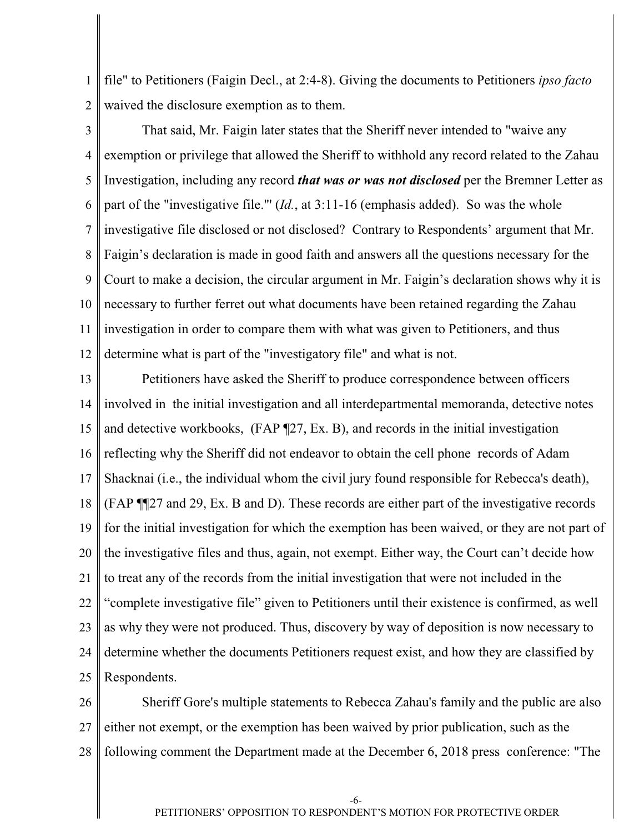1 2 file" to Petitioners (Faigin Decl., at 2:4-8). Giving the documents to Petitioners *ipso facto* waived the disclosure exemption as to them.

3 4 5 6 7 8 9 10 11 12 That said, Mr. Faigin later states that the Sheriff never intended to "waive any exemption or privilege that allowed the Sheriff to withhold any record related to the Zahau Investigation, including any record *that was or was not disclosed* per the Bremner Letter as part of the "investigative file."' (*Id.*, at 3:11-16 (emphasis added). So was the whole investigative file disclosed or not disclosed? Contrary to Respondents' argument that Mr. Faigin's declaration is made in good faith and answers all the questions necessary for the Court to make a decision, the circular argument in Mr. Faigin's declaration shows why it is necessary to further ferret out what documents have been retained regarding the Zahau investigation in order to compare them with what was given to Petitioners, and thus determine what is part of the "investigatory file" and what is not.

13 14 15 16 17 18 19 20 21 22 23 24 25 Petitioners have asked the Sheriff to produce correspondence between officers involved in the initial investigation and all interdepartmental memoranda, detective notes and detective workbooks, (FAP ¶27, Ex. B), and records in the initial investigation reflecting why the Sheriff did not endeavor to obtain the cell phone records of Adam Shacknai (i.e., the individual whom the civil jury found responsible for Rebecca's death), (FAP ¶¶27 and 29, Ex. B and D). These records are either part of the investigative records for the initial investigation for which the exemption has been waived, or they are not part of the investigative files and thus, again, not exempt. Either way, the Court can't decide how to treat any of the records from the initial investigation that were not included in the "complete investigative file" given to Petitioners until their existence is confirmed, as well as why they were not produced. Thus, discovery by way of deposition is now necessary to determine whether the documents Petitioners request exist, and how they are classified by Respondents.

26 27 28 Sheriff Gore's multiple statements to Rebecca Zahau's family and the public are also either not exempt, or the exemption has been waived by prior publication, such as the following comment the Department made at the December 6, 2018 press conference: "The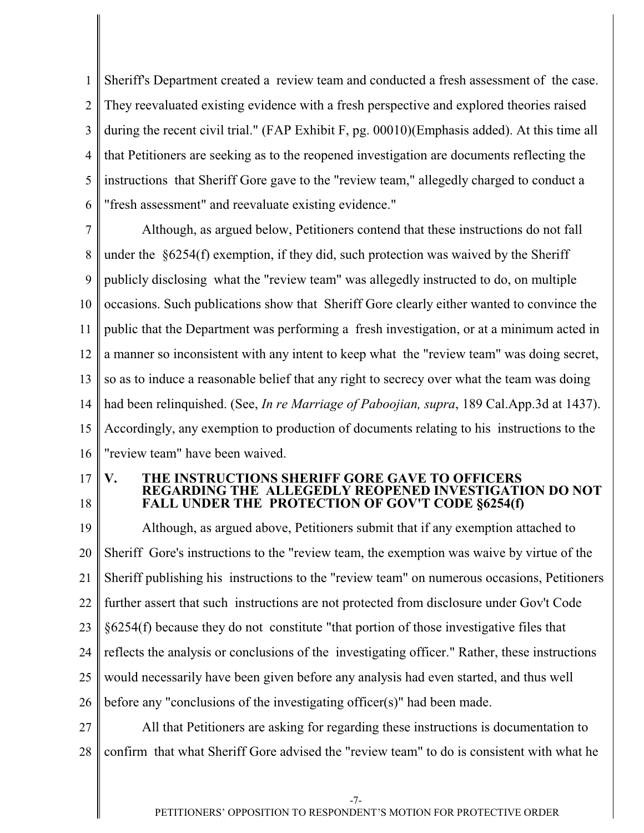1 2 3 4 5 6 Sheriff's Department created a review team and conducted a fresh assessment of the case. They reevaluated existing evidence with a fresh perspective and explored theories raised during the recent civil trial." (FAP Exhibit F, pg. 00010)(Emphasis added). At this time all that Petitioners are seeking as to the reopened investigation are documents reflecting the instructions that Sheriff Gore gave to the "review team," allegedly charged to conduct a "fresh assessment" and reevaluate existing evidence."

7 8 9 10 11 12 13 14 15 16 Although, as argued below, Petitioners contend that these instructions do not fall under the §6254(f) exemption, if they did, such protection was waived by the Sheriff publicly disclosing what the "review team" was allegedly instructed to do, on multiple occasions. Such publications show that Sheriff Gore clearly either wanted to convince the public that the Department was performing a fresh investigation, or at a minimum acted in a manner so inconsistent with any intent to keep what the "review team" was doing secret, so as to induce a reasonable belief that any right to secrecy over what the team was doing had been relinquished. (See, *In re Marriage of Paboojian, supra*, 189 Cal.App.3d at 1437). Accordingly, any exemption to production of documents relating to his instructions to the "review team" have been waived.

17 18 **V. THE INSTRUCTIONS SHERIFF GORE GAVE TO OFFICERS REGARDING THE ALLEGEDLY REOPENED INVESTIGATION DO NOT FALL UNDER THE PROTECTION OF GOV'T CODE §6254(f)** 

19 20 21 22 23 24 25 26 27 Although, as argued above, Petitioners submit that if any exemption attached to Sheriff Gore's instructions to the "review team, the exemption was waive by virtue of the Sheriff publishing his instructions to the "review team" on numerous occasions, Petitioners further assert that such instructions are not protected from disclosure under Gov't Code §6254(f) because they do not constitute "that portion of those investigative files that reflects the analysis or conclusions of the investigating officer." Rather, these instructions would necessarily have been given before any analysis had even started, and thus well before any "conclusions of the investigating officer(s)" had been made. All that Petitioners are asking for regarding these instructions is documentation to

28 confirm that what Sheriff Gore advised the "review team" to do is consistent with what he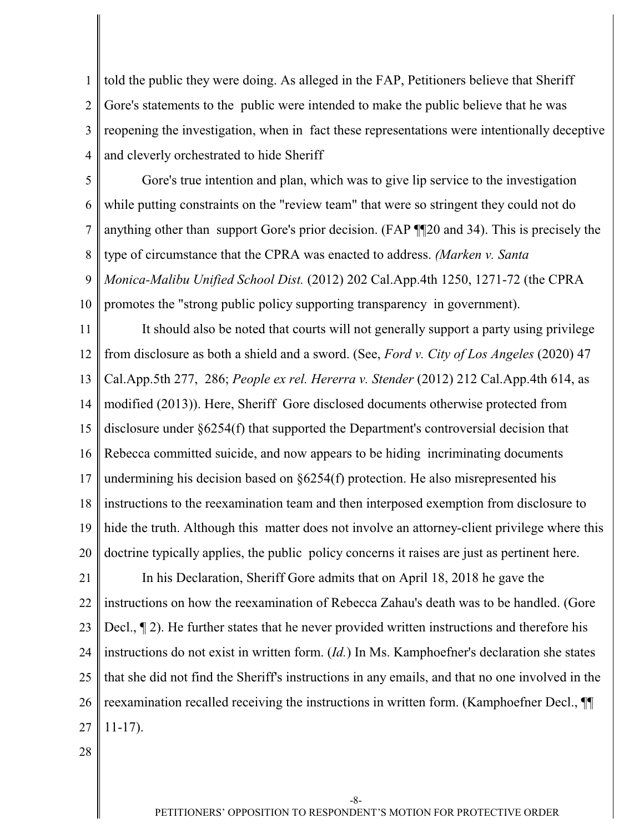1 2 3 4 told the public they were doing. As alleged in the FAP, Petitioners believe that Sheriff Gore's statements to the public were intended to make the public believe that he was reopening the investigation, when in fact these representations were intentionally deceptive and cleverly orchestrated to hide Sheriff

5 6 7 8 9 Gore's true intention and plan, which was to give lip service to the investigation while putting constraints on the "review team" that were so stringent they could not do anything other than support Gore's prior decision. (FAP ¶¶20 and 34). This is precisely the type of circumstance that the CPRA was enacted to address. *(Marken v. Santa Monica-Malibu Unified School Dist.* (2012) 202 Cal.App.4th 1250, 1271-72 (the CPRA

10 promotes the "strong public policy supporting transparency in government).

11 12 13 14 15 16 17 18 19 20 It should also be noted that courts will not generally support a party using privilege from disclosure as both a shield and a sword. (See, *Ford v. City of Los Angeles* (2020) 47 Cal.App.5th 277, 286; *People ex rel. Hererra v. Stender* (2012) 212 Cal.App.4th 614, as modified (2013)). Here, Sheriff Gore disclosed documents otherwise protected from disclosure under §6254(f) that supported the Department's controversial decision that Rebecca committed suicide, and now appears to be hiding incriminating documents undermining his decision based on §6254(f) protection. He also misrepresented his instructions to the reexamination team and then interposed exemption from disclosure to hide the truth. Although this matter does not involve an attorney-client privilege where this doctrine typically applies, the public policy concerns it raises are just as pertinent here.

21 22 23 24 25 26 27 In his Declaration, Sheriff Gore admits that on April 18, 2018 he gave the instructions on how the reexamination of Rebecca Zahau's death was to be handled. (Gore Decl., ¶ 2). He further states that he never provided written instructions and therefore his instructions do not exist in written form. (*Id.*) In Ms. Kamphoefner's declaration she states that she did not find the Sheriff's instructions in any emails, and that no one involved in the reexamination recalled receiving the instructions in written form. (Kamphoefner Decl., ¶¶ 11-17).

28